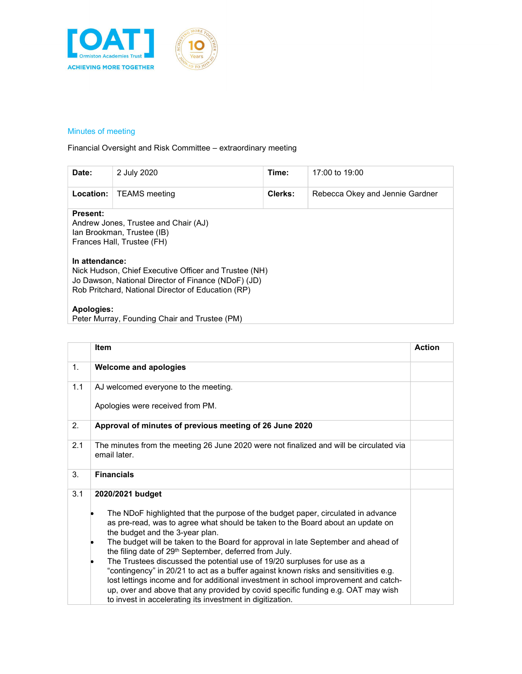

## Minutes of meeting

Financial Oversight and Risk Committee – extraordinary meeting

| Date:                             | 2 July 2020                                                                                                                                                                                                                                                            | Time:   | 17:00 to $19:00$                |
|-----------------------------------|------------------------------------------------------------------------------------------------------------------------------------------------------------------------------------------------------------------------------------------------------------------------|---------|---------------------------------|
| Location:                         | <b>TEAMS</b> meeting                                                                                                                                                                                                                                                   | Clerks: | Rebecca Okey and Jennie Gardner |
| <b>Present:</b><br>In attendance: | Andrew Jones, Trustee and Chair (AJ)<br>Ian Brookman, Trustee (IB)<br>Frances Hall, Trustee (FH)<br>Nick Hudson, Chief Executive Officer and Trustee (NH)<br>Jo Dawson, National Director of Finance (NDoF) (JD)<br>Rob Pritchard, National Director of Education (RP) |         |                                 |
| Apologies:                        | Peter Murray, Founding Chair and Trustee (PM)                                                                                                                                                                                                                          |         |                                 |

|     | <b>Item</b>                                                                                                                                                                                                                                                                                                                                                                                                                                                                                                                                                                                                                                                                                                                                                                                      | <b>Action</b> |
|-----|--------------------------------------------------------------------------------------------------------------------------------------------------------------------------------------------------------------------------------------------------------------------------------------------------------------------------------------------------------------------------------------------------------------------------------------------------------------------------------------------------------------------------------------------------------------------------------------------------------------------------------------------------------------------------------------------------------------------------------------------------------------------------------------------------|---------------|
| 1.  | <b>Welcome and apologies</b>                                                                                                                                                                                                                                                                                                                                                                                                                                                                                                                                                                                                                                                                                                                                                                     |               |
| 1.1 | AJ welcomed everyone to the meeting.                                                                                                                                                                                                                                                                                                                                                                                                                                                                                                                                                                                                                                                                                                                                                             |               |
|     | Apologies were received from PM.                                                                                                                                                                                                                                                                                                                                                                                                                                                                                                                                                                                                                                                                                                                                                                 |               |
| 2.  | Approval of minutes of previous meeting of 26 June 2020                                                                                                                                                                                                                                                                                                                                                                                                                                                                                                                                                                                                                                                                                                                                          |               |
| 2.1 | The minutes from the meeting 26 June 2020 were not finalized and will be circulated via<br>email later.                                                                                                                                                                                                                                                                                                                                                                                                                                                                                                                                                                                                                                                                                          |               |
| 3.  | <b>Financials</b>                                                                                                                                                                                                                                                                                                                                                                                                                                                                                                                                                                                                                                                                                                                                                                                |               |
| 3.1 | 2020/2021 budget<br>The NDoF highlighted that the purpose of the budget paper, circulated in advance<br>as pre-read, was to agree what should be taken to the Board about an update on<br>the budget and the 3-year plan.<br>The budget will be taken to the Board for approval in late September and ahead of<br>the filing date of 29 <sup>th</sup> September, deferred from July.<br>The Trustees discussed the potential use of 19/20 surpluses for use as a<br>"contingency" in 20/21 to act as a buffer against known risks and sensitivities e.g.<br>lost lettings income and for additional investment in school improvement and catch-<br>up, over and above that any provided by covid specific funding e.g. OAT may wish<br>to invest in accelerating its investment in digitization. |               |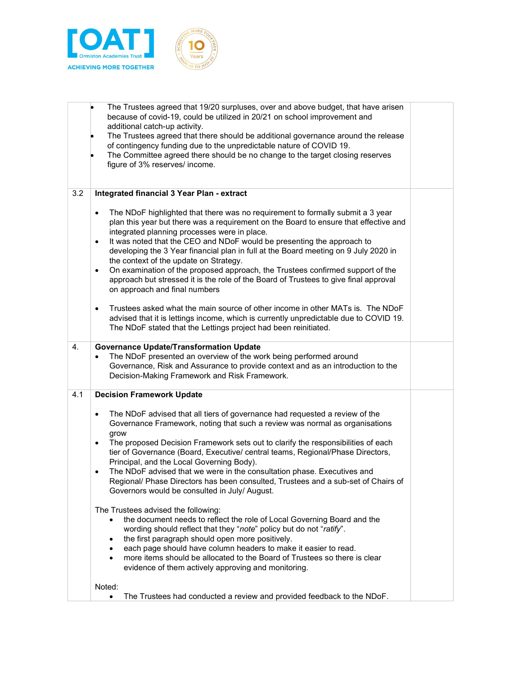

|     | The Trustees agreed that 19/20 surpluses, over and above budget, that have arisen<br>because of covid-19, could be utilized in 20/21 on school improvement and<br>additional catch-up activity.<br>The Trustees agreed that there should be additional governance around the release<br>of contingency funding due to the unpredictable nature of COVID 19.<br>The Committee agreed there should be no change to the target closing reserves<br>figure of 3% reserves/ income.                                                                                                                                                                                                                                                                                                                                                                                                                                                                                                                                                                                                                                                                                                      |  |
|-----|-------------------------------------------------------------------------------------------------------------------------------------------------------------------------------------------------------------------------------------------------------------------------------------------------------------------------------------------------------------------------------------------------------------------------------------------------------------------------------------------------------------------------------------------------------------------------------------------------------------------------------------------------------------------------------------------------------------------------------------------------------------------------------------------------------------------------------------------------------------------------------------------------------------------------------------------------------------------------------------------------------------------------------------------------------------------------------------------------------------------------------------------------------------------------------------|--|
| 3.2 | Integrated financial 3 Year Plan - extract<br>The NDoF highlighted that there was no requirement to formally submit a 3 year<br>$\bullet$<br>plan this year but there was a requirement on the Board to ensure that effective and<br>integrated planning processes were in place.<br>It was noted that the CEO and NDoF would be presenting the approach to<br>$\bullet$<br>developing the 3 Year financial plan in full at the Board meeting on 9 July 2020 in<br>the context of the update on Strategy.<br>On examination of the proposed approach, the Trustees confirmed support of the<br>$\bullet$<br>approach but stressed it is the role of the Board of Trustees to give final approval<br>on approach and final numbers<br>Trustees asked what the main source of other income in other MATs is. The NDoF<br>$\bullet$<br>advised that it is lettings income, which is currently unpredictable due to COVID 19.<br>The NDoF stated that the Lettings project had been reinitiated.                                                                                                                                                                                        |  |
| 4.  | <b>Governance Update/Transformation Update</b><br>The NDoF presented an overview of the work being performed around<br>Governance, Risk and Assurance to provide context and as an introduction to the<br>Decision-Making Framework and Risk Framework.                                                                                                                                                                                                                                                                                                                                                                                                                                                                                                                                                                                                                                                                                                                                                                                                                                                                                                                             |  |
| 4.1 | <b>Decision Framework Update</b><br>The NDoF advised that all tiers of governance had requested a review of the<br>$\bullet$<br>Governance Framework, noting that such a review was normal as organisations<br>grow<br>The proposed Decision Framework sets out to clarify the responsibilities of each<br>٠<br>tier of Governance (Board, Executive/ central teams, Regional/Phase Directors,<br>Principal, and the Local Governing Body).<br>The NDoF advised that we were in the consultation phase. Executives and<br>٠<br>Regional/ Phase Directors has been consulted, Trustees and a sub-set of Chairs of<br>Governors would be consulted in July/ August.<br>The Trustees advised the following:<br>the document needs to reflect the role of Local Governing Board and the<br>$\bullet$<br>wording should reflect that they "note" policy but do not "ratify".<br>the first paragraph should open more positively.<br>$\bullet$<br>each page should have column headers to make it easier to read.<br>$\bullet$<br>more items should be allocated to the Board of Trustees so there is clear<br>$\bullet$<br>evidence of them actively approving and monitoring.<br>Noted: |  |
|     | The Trustees had conducted a review and provided feedback to the NDoF.<br>$\bullet$                                                                                                                                                                                                                                                                                                                                                                                                                                                                                                                                                                                                                                                                                                                                                                                                                                                                                                                                                                                                                                                                                                 |  |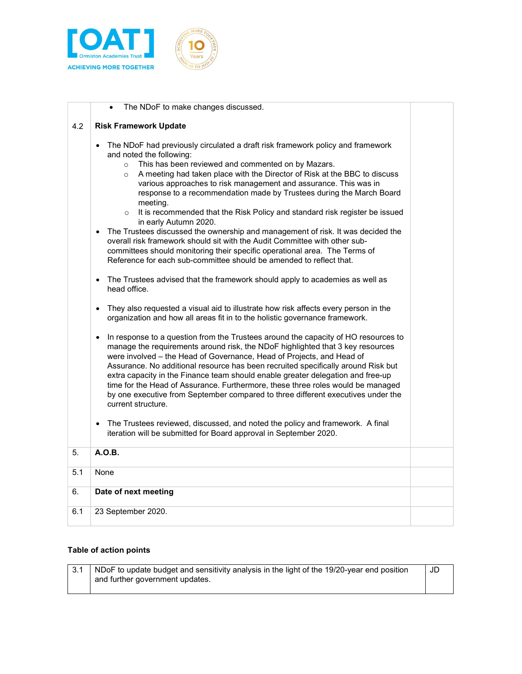

|     | The NDoF to make changes discussed.                                                                                                                                                                                                                                                                                                                                                                                                                                                                                                                                                                                                                                                                                                                                                                                                                                                            |  |
|-----|------------------------------------------------------------------------------------------------------------------------------------------------------------------------------------------------------------------------------------------------------------------------------------------------------------------------------------------------------------------------------------------------------------------------------------------------------------------------------------------------------------------------------------------------------------------------------------------------------------------------------------------------------------------------------------------------------------------------------------------------------------------------------------------------------------------------------------------------------------------------------------------------|--|
| 4.2 | <b>Risk Framework Update</b>                                                                                                                                                                                                                                                                                                                                                                                                                                                                                                                                                                                                                                                                                                                                                                                                                                                                   |  |
|     | The NDoF had previously circulated a draft risk framework policy and framework<br>$\bullet$<br>and noted the following:<br>This has been reviewed and commented on by Mazars.<br>$\circ$<br>A meeting had taken place with the Director of Risk at the BBC to discuss<br>$\circ$<br>various approaches to risk management and assurance. This was in<br>response to a recommendation made by Trustees during the March Board<br>meeting.<br>It is recommended that the Risk Policy and standard risk register be issued<br>$\circ$<br>in early Autumn 2020.<br>The Trustees discussed the ownership and management of risk. It was decided the<br>$\bullet$<br>overall risk framework should sit with the Audit Committee with other sub-<br>committees should monitoring their specific operational area. The Terms of<br>Reference for each sub-committee should be amended to reflect that. |  |
|     | The Trustees advised that the framework should apply to academies as well as<br>$\bullet$<br>head office.                                                                                                                                                                                                                                                                                                                                                                                                                                                                                                                                                                                                                                                                                                                                                                                      |  |
|     | They also requested a visual aid to illustrate how risk affects every person in the<br>$\bullet$<br>organization and how all areas fit in to the holistic governance framework.                                                                                                                                                                                                                                                                                                                                                                                                                                                                                                                                                                                                                                                                                                                |  |
|     | In response to a question from the Trustees around the capacity of HO resources to<br>$\bullet$<br>manage the requirements around risk, the NDoF highlighted that 3 key resources<br>were involved - the Head of Governance, Head of Projects, and Head of<br>Assurance. No additional resource has been recruited specifically around Risk but<br>extra capacity in the Finance team should enable greater delegation and free-up<br>time for the Head of Assurance. Furthermore, these three roles would be managed<br>by one executive from September compared to three different executives under the<br>current structure.<br>The Trustees reviewed, discussed, and noted the policy and framework. A final<br>$\bullet$                                                                                                                                                                  |  |
|     | iteration will be submitted for Board approval in September 2020.                                                                                                                                                                                                                                                                                                                                                                                                                                                                                                                                                                                                                                                                                                                                                                                                                              |  |
| 5.  | A.O.B.                                                                                                                                                                                                                                                                                                                                                                                                                                                                                                                                                                                                                                                                                                                                                                                                                                                                                         |  |
| 5.1 | None                                                                                                                                                                                                                                                                                                                                                                                                                                                                                                                                                                                                                                                                                                                                                                                                                                                                                           |  |
| 6.  | Date of next meeting                                                                                                                                                                                                                                                                                                                                                                                                                                                                                                                                                                                                                                                                                                                                                                                                                                                                           |  |
| 6.1 | 23 September 2020.                                                                                                                                                                                                                                                                                                                                                                                                                                                                                                                                                                                                                                                                                                                                                                                                                                                                             |  |

## Table of action points

| NDoF to update budget and sensitivity analysis in the light of the 19/20-year end position | JD |
|--------------------------------------------------------------------------------------------|----|
| and further government updates.                                                            |    |
|                                                                                            |    |